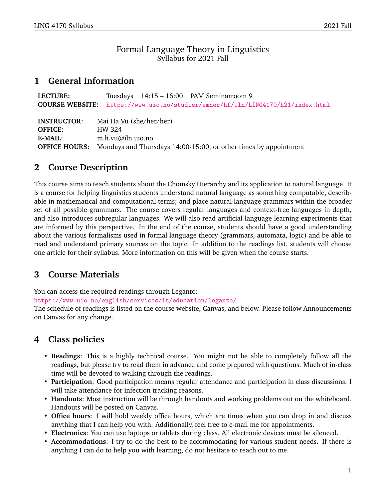### Formal Language Theory in Linguistics Syllabus for 2021 Fall

## **1 General Information**

| <b>LECTURE:</b>      | Tuesdays 14:15 - 16:00 PAM Seminarroom 9                                        |
|----------------------|---------------------------------------------------------------------------------|
|                      | COURSE WEBSITE: https://www.uio.no/studier/emner/hf/iln/LING4170/h21/index.html |
|                      |                                                                                 |
| <b>INSTRUCTOR:</b>   | Mai Ha Vu (she/her/her)                                                         |
| <b>OFFICE:</b>       | HW 324                                                                          |
| <b>E-MAIL:</b>       | m.h.vu@iln.uio.no                                                               |
| <b>OFFICE HOURS:</b> | Mondays and Thursdays 14:00-15:00, or other times by appointment                |

## **2 Course Description**

This course aims to teach students about the Chomsky Hierarchy and its application to natural language. It is a course for helping linguistics students understand natural language as something computable, describable in mathematical and computational terms; and place natural language grammars within the broader set of all possible grammars. The course covers regular languages and context-free languages in depth, and also introduces subregular languages. We will also read artificial language learning experiments that are informed by this perspective. In the end of the course, students should have a good understanding about the various formalisms used in formal language theory (grammars, automata, logic) and be able to read and understand primary sources on the topic. In addition to the readings list, students will choose one article for their syllabus. More information on this will be given when the course starts.

## **3 Course Materials**

You can access the required readings through Leganto:

<https://www.uio.no/english/services/it/education/leganto/>

The schedule of readings is listed on the course website, Canvas, and below. Please follow Announcements on Canvas for any change.

# **4 Class policies**

- **Readings**: This is a highly technical course. You might not be able to completely follow all the readings, but please try to read them in advance and come prepared with questions. Much of in-class time will be devoted to walking through the readings.
- **Participation**: Good participation means regular attendance and participation in class discussions. I will take attendance for infection tracking reasons.
- **Handouts**: Most instruction will be through handouts and working problems out on the whiteboard. Handouts will be posted on Canvas.
- **Office hours**: I will hold weekly office hours, which are times when you can drop in and discuss anything that I can help you with. Additionally, feel free to e-mail me for appointments.
- **Electronics**: You can use laptops or tablets during class. All electronic devices must be silenced.
- **Accommodations**: I try to do the best to be accommodating for various student needs. If there is anything I can do to help you with learning, do not hesitate to reach out to me.